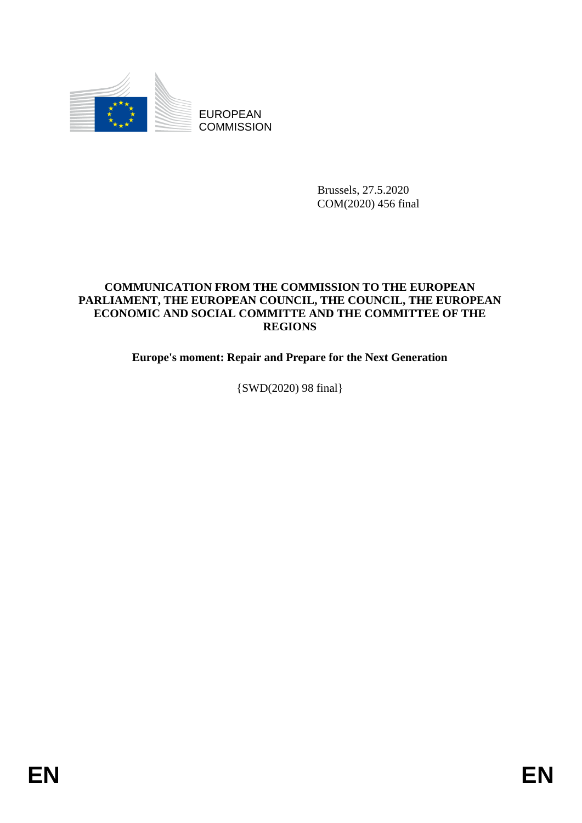

EUROPEAN **COMMISSION** 

> Brussels, 27.5.2020 COM(2020) 456 final

# **COMMUNICATION FROM THE COMMISSION TO THE EUROPEAN PARLIAMENT, THE EUROPEAN COUNCIL, THE COUNCIL, THE EUROPEAN ECONOMIC AND SOCIAL COMMITTE AND THE COMMITTEE OF THE REGIONS**

**Europe's moment: Repair and Prepare for the Next Generation**

{SWD(2020) 98 final}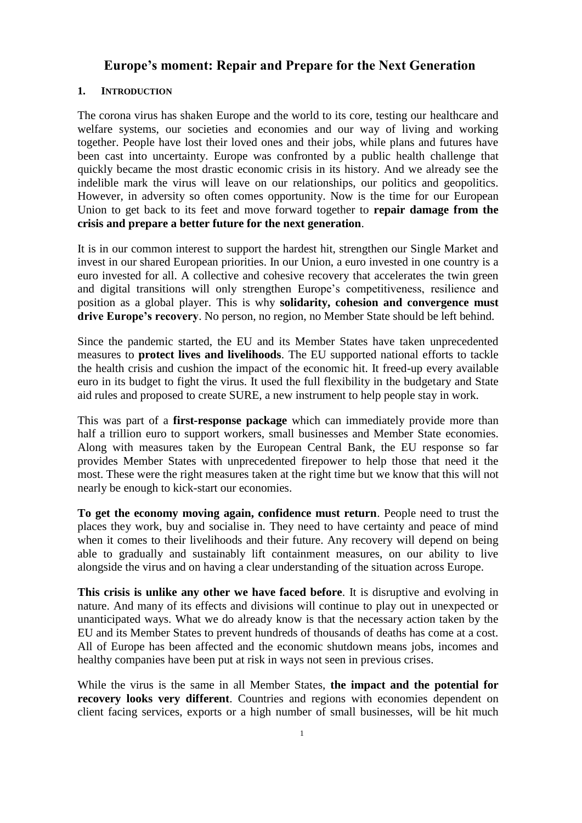# **Europe's moment: Repair and Prepare for the Next Generation**

## **1. INTRODUCTION**

The corona virus has shaken Europe and the world to its core, testing our healthcare and welfare systems, our societies and economies and our way of living and working together. People have lost their loved ones and their jobs, while plans and futures have been cast into uncertainty. Europe was confronted by a public health challenge that quickly became the most drastic economic crisis in its history. And we already see the indelible mark the virus will leave on our relationships, our politics and geopolitics. However, in adversity so often comes opportunity. Now is the time for our European Union to get back to its feet and move forward together to **repair damage from the crisis and prepare a better future for the next generation**.

It is in our common interest to support the hardest hit, strengthen our Single Market and invest in our shared European priorities. In our Union, a euro invested in one country is a euro invested for all. A collective and cohesive recovery that accelerates the twin green and digital transitions will only strengthen Europe's competitiveness, resilience and position as a global player. This is why **solidarity, cohesion and convergence must drive Europe's recovery**. No person, no region, no Member State should be left behind.

Since the pandemic started, the EU and its Member States have taken unprecedented measures to **protect lives and livelihoods**. The EU supported national efforts to tackle the health crisis and cushion the impact of the economic hit. It freed-up every available euro in its budget to fight the virus. It used the full flexibility in the budgetary and State aid rules and proposed to create SURE, a new instrument to help people stay in work.

This was part of a **first-response package** which can immediately provide more than half a trillion euro to support workers, small businesses and Member State economies. Along with measures taken by the European Central Bank, the EU response so far provides Member States with unprecedented firepower to help those that need it the most. These were the right measures taken at the right time but we know that this will not nearly be enough to kick-start our economies.

**To get the economy moving again, confidence must return**. People need to trust the places they work, buy and socialise in. They need to have certainty and peace of mind when it comes to their livelihoods and their future. Any recovery will depend on being able to gradually and sustainably lift containment measures, on our ability to live alongside the virus and on having a clear understanding of the situation across Europe.

**This crisis is unlike any other we have faced before**. It is disruptive and evolving in nature. And many of its effects and divisions will continue to play out in unexpected or unanticipated ways. What we do already know is that the necessary action taken by the EU and its Member States to prevent hundreds of thousands of deaths has come at a cost. All of Europe has been affected and the economic shutdown means jobs, incomes and healthy companies have been put at risk in ways not seen in previous crises.

While the virus is the same in all Member States, **the impact and the potential for recovery looks very different**. Countries and regions with economies dependent on client facing services, exports or a high number of small businesses, will be hit much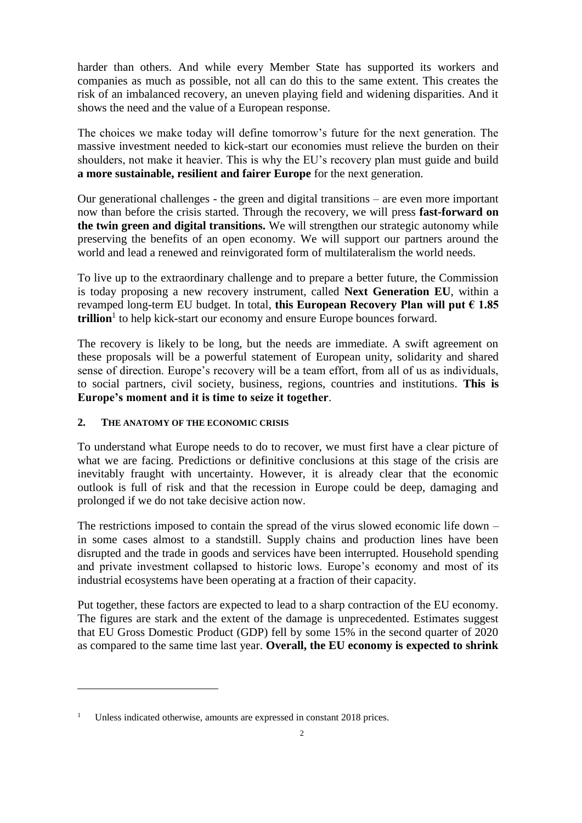harder than others. And while every Member State has supported its workers and companies as much as possible, not all can do this to the same extent. This creates the risk of an imbalanced recovery, an uneven playing field and widening disparities. And it shows the need and the value of a European response.

The choices we make today will define tomorrow's future for the next generation. The massive investment needed to kick-start our economies must relieve the burden on their shoulders, not make it heavier. This is why the EU's recovery plan must guide and build **a more sustainable, resilient and fairer Europe** for the next generation.

Our generational challenges - the green and digital transitions – are even more important now than before the crisis started. Through the recovery, we will press **fast-forward on the twin green and digital transitions.** We will strengthen our strategic autonomy while preserving the benefits of an open economy. We will support our partners around the world and lead a renewed and reinvigorated form of multilateralism the world needs.

To live up to the extraordinary challenge and to prepare a better future, the Commission is today proposing a new recovery instrument, called **Next Generation EU**, within a revamped long-term EU budget. In total, **this European Recovery Plan will put € 1.85**  trillion<sup>1</sup> to help kick-start our economy and ensure Europe bounces forward.

The recovery is likely to be long, but the needs are immediate. A swift agreement on these proposals will be a powerful statement of European unity, solidarity and shared sense of direction. Europe's recovery will be a team effort, from all of us as individuals, to social partners, civil society, business, regions, countries and institutions. **This is Europe's moment and it is time to seize it together**.

# **2. THE ANATOMY OF THE ECONOMIC CRISIS**

 $\overline{a}$ 

To understand what Europe needs to do to recover, we must first have a clear picture of what we are facing. Predictions or definitive conclusions at this stage of the crisis are inevitably fraught with uncertainty. However, it is already clear that the economic outlook is full of risk and that the recession in Europe could be deep, damaging and prolonged if we do not take decisive action now.

The restrictions imposed to contain the spread of the virus slowed economic life down – in some cases almost to a standstill. Supply chains and production lines have been disrupted and the trade in goods and services have been interrupted. Household spending and private investment collapsed to historic lows. Europe's economy and most of its industrial ecosystems have been operating at a fraction of their capacity.

Put together, these factors are expected to lead to a sharp contraction of the EU economy. The figures are stark and the extent of the damage is unprecedented. Estimates suggest that EU Gross Domestic Product (GDP) fell by some 15% in the second quarter of 2020 as compared to the same time last year. **Overall, the EU economy is expected to shrink** 

<sup>&</sup>lt;sup>1</sup> Unless indicated otherwise, amounts are expressed in constant 2018 prices.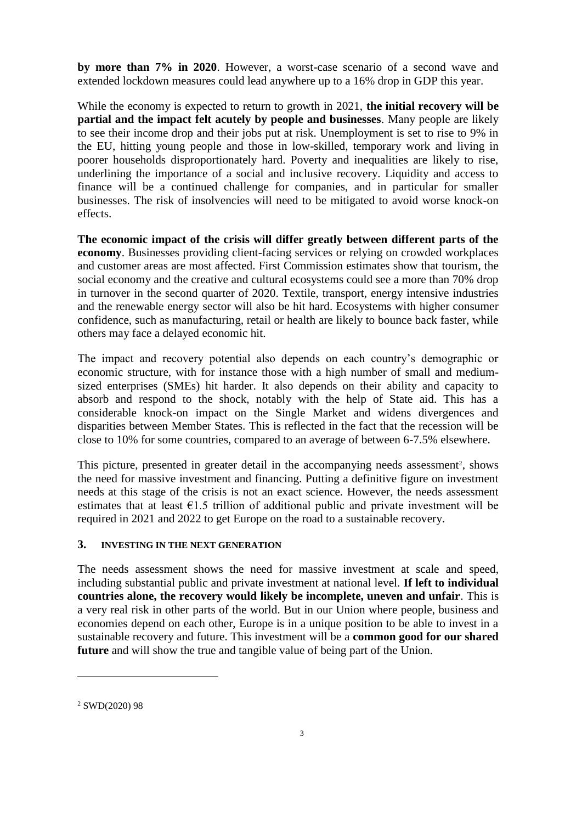**by more than 7% in 2020**. However, a worst-case scenario of a second wave and extended lockdown measures could lead anywhere up to a 16% drop in GDP this year.

While the economy is expected to return to growth in 2021, **the initial recovery will be partial and the impact felt acutely by people and businesses**. Many people are likely to see their income drop and their jobs put at risk. Unemployment is set to rise to 9% in the EU, hitting young people and those in low-skilled, temporary work and living in poorer households disproportionately hard. Poverty and inequalities are likely to rise, underlining the importance of a social and inclusive recovery. Liquidity and access to finance will be a continued challenge for companies, and in particular for smaller businesses. The risk of insolvencies will need to be mitigated to avoid worse knock-on effects.

**The economic impact of the crisis will differ greatly between different parts of the economy**. Businesses providing client-facing services or relying on crowded workplaces and customer areas are most affected. First Commission estimates show that tourism, the social economy and the creative and cultural ecosystems could see a more than 70% drop in turnover in the second quarter of 2020. Textile, transport, energy intensive industries and the renewable energy sector will also be hit hard. Ecosystems with higher consumer confidence, such as manufacturing, retail or health are likely to bounce back faster, while others may face a delayed economic hit.

The impact and recovery potential also depends on each country's demographic or economic structure, with for instance those with a high number of small and mediumsized enterprises (SMEs) hit harder. It also depends on their ability and capacity to absorb and respond to the shock, notably with the help of State aid. This has a considerable knock-on impact on the Single Market and widens divergences and disparities between Member States. This is reflected in the fact that the recession will be close to 10% for some countries, compared to an average of between 6-7.5% elsewhere.

This picture, presented in greater detail in the accompanying needs assessment<sup>2</sup>, shows the need for massive investment and financing. Putting a definitive figure on investment needs at this stage of the crisis is not an exact science. However, the needs assessment estimates that at least  $E1.5$  trillion of additional public and private investment will be required in 2021 and 2022 to get Europe on the road to a sustainable recovery.

### **3. INVESTING IN THE NEXT GENERATION**

The needs assessment shows the need for massive investment at scale and speed, including substantial public and private investment at national level. **If left to individual countries alone, the recovery would likely be incomplete, uneven and unfair**. This is a very real risk in other parts of the world. But in our Union where people, business and economies depend on each other, Europe is in a unique position to be able to invest in a sustainable recovery and future. This investment will be a **common good for our shared future** and will show the true and tangible value of being part of the Union.

 $\overline{a}$ 

<sup>2</sup> SWD(2020) 98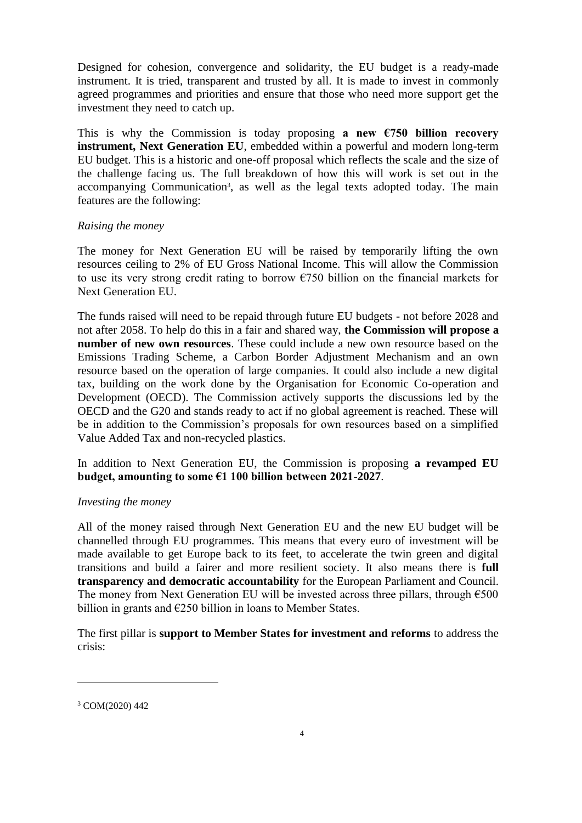Designed for cohesion, convergence and solidarity, the EU budget is a ready-made instrument. It is tried, transparent and trusted by all. It is made to invest in commonly agreed programmes and priorities and ensure that those who need more support get the investment they need to catch up.

This is why the Commission is today proposing **a new**  $\epsilon$ **750 billion recovery instrument, Next Generation EU**, embedded within a powerful and modern long-term EU budget. This is a historic and one-off proposal which reflects the scale and the size of the challenge facing us. The full breakdown of how this will work is set out in the accompanying Communication<sup>3</sup>, as well as the legal texts adopted today. The main features are the following:

# *Raising the money*

The money for Next Generation EU will be raised by temporarily lifting the own resources ceiling to 2% of EU Gross National Income. This will allow the Commission to use its very strong credit rating to borrow  $\epsilon$ 750 billion on the financial markets for Next Generation EU.

The funds raised will need to be repaid through future EU budgets - not before 2028 and not after 2058. To help do this in a fair and shared way, **the Commission will propose a number of new own resources**. These could include a new own resource based on the Emissions Trading Scheme, a Carbon Border Adjustment Mechanism and an own resource based on the operation of large companies. It could also include a new digital tax, building on the work done by the Organisation for Economic Co-operation and Development (OECD). The Commission actively supports the discussions led by the OECD and the G20 and stands ready to act if no global agreement is reached. These will be in addition to the Commission's proposals for own resources based on a simplified Value Added Tax and non-recycled plastics.

In addition to Next Generation EU, the Commission is proposing **a revamped EU budget, amounting to some €1 100 billion between 2021-2027**.

# *Investing the money*

All of the money raised through Next Generation EU and the new EU budget will be channelled through EU programmes. This means that every euro of investment will be made available to get Europe back to its feet, to accelerate the twin green and digital transitions and build a fairer and more resilient society. It also means there is **full transparency and democratic accountability** for the European Parliament and Council. The money from Next Generation EU will be invested across three pillars, through  $6500$ billion in grants and  $E250$  billion in loans to Member States.

The first pillar is **support to Member States for investment and reforms** to address the crisis:

 $\overline{a}$ 

<sup>3</sup> COM(2020) 442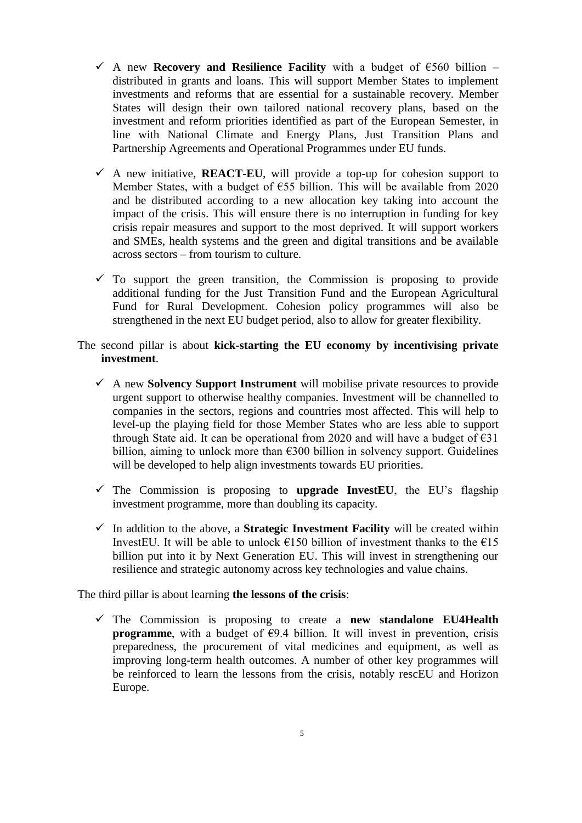- A new **Recovery and Resilience Facility** with a budget of  $\epsilon$ 560 billion distributed in grants and loans. This will support Member States to implement investments and reforms that are essential for a sustainable recovery. Member States will design their own tailored national recovery plans, based on the investment and reform priorities identified as part of the European Semester, in line with National Climate and Energy Plans, Just Transition Plans and Partnership Agreements and Operational Programmes under EU funds.
- $\checkmark$  A new initiative, **REACT-EU**, will provide a top-up for cohesion support to Member States, with a budget of €55 billion. This will be available from 2020 and be distributed according to a new allocation key taking into account the impact of the crisis. This will ensure there is no interruption in funding for key crisis repair measures and support to the most deprived. It will support workers and SMEs, health systems and the green and digital transitions and be available across sectors – from tourism to culture.
- $\checkmark$  To support the green transition, the Commission is proposing to provide additional funding for the Just Transition Fund and the European Agricultural Fund for Rural Development. Cohesion policy programmes will also be strengthened in the next EU budget period, also to allow for greater flexibility.
- The second pillar is about **kick-starting the EU economy by incentivising private investment**.
	- A new **Solvency Support Instrument** will mobilise private resources to provide urgent support to otherwise healthy companies. Investment will be channelled to companies in the sectors, regions and countries most affected. This will help to level-up the playing field for those Member States who are less able to support through State aid. It can be operational from 2020 and will have a budget of  $\epsilon$ 31 billion, aiming to unlock more than  $\epsilon$ 300 billion in solvency support. Guidelines will be developed to help align investments towards EU priorities.
	- $\checkmark$  The Commission is proposing to **upgrade InvestEU**, the EU's flagship investment programme, more than doubling its capacity.
	- $\checkmark$  In addition to the above, a **Strategic Investment Facility** will be created within InvestEU. It will be able to unlock  $\epsilon$ 150 billion of investment thanks to the  $\epsilon$ 15 billion put into it by Next Generation EU. This will invest in strengthening our resilience and strategic autonomy across key technologies and value chains.

The third pillar is about learning **the lessons of the crisis**:

 The Commission is proposing to create a **new standalone EU4Health programme**, with a budget of  $\epsilon$ 9.4 billion. It will invest in prevention, crisis preparedness, the procurement of vital medicines and equipment, as well as improving long-term health outcomes. A number of other key programmes will be reinforced to learn the lessons from the crisis, notably rescEU and Horizon Europe.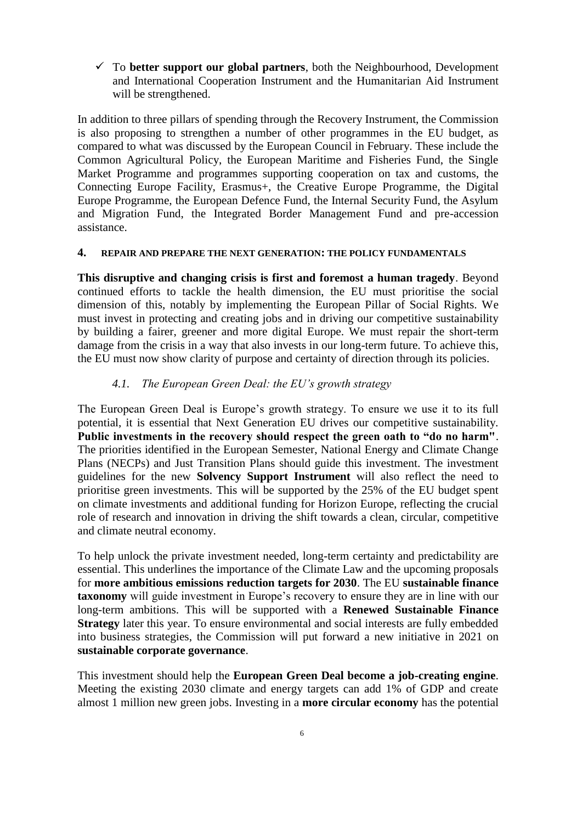$\checkmark$  To **better support our global partners**, both the Neighbourhood, Development and International Cooperation Instrument and the Humanitarian Aid Instrument will be strengthened.

In addition to three pillars of spending through the Recovery Instrument, the Commission is also proposing to strengthen a number of other programmes in the EU budget, as compared to what was discussed by the European Council in February. These include the Common Agricultural Policy, the European Maritime and Fisheries Fund, the Single Market Programme and programmes supporting cooperation on tax and customs, the Connecting Europe Facility, Erasmus+, the Creative Europe Programme, the Digital Europe Programme, the European Defence Fund, the Internal Security Fund, the Asylum and Migration Fund, the Integrated Border Management Fund and pre-accession assistance.

#### **4. REPAIR AND PREPARE THE NEXT GENERATION: THE POLICY FUNDAMENTALS**

**This disruptive and changing crisis is first and foremost a human tragedy**. Beyond continued efforts to tackle the health dimension, the EU must prioritise the social dimension of this, notably by implementing the European Pillar of Social Rights. We must invest in protecting and creating jobs and in driving our competitive sustainability by building a fairer, greener and more digital Europe. We must repair the short-term damage from the crisis in a way that also invests in our long-term future. To achieve this, the EU must now show clarity of purpose and certainty of direction through its policies.

## *4.1. The European Green Deal: the EU's growth strategy*

The European Green Deal is Europe's growth strategy. To ensure we use it to its full potential, it is essential that Next Generation EU drives our competitive sustainability. **Public investments in the recovery should respect the green oath to "do no harm"**. The priorities identified in the European Semester, National Energy and Climate Change Plans (NECPs) and Just Transition Plans should guide this investment. The investment guidelines for the new **Solvency Support Instrument** will also reflect the need to prioritise green investments. This will be supported by the 25% of the EU budget spent on climate investments and additional funding for Horizon Europe, reflecting the crucial role of research and innovation in driving the shift towards a clean, circular, competitive and climate neutral economy.

To help unlock the private investment needed, long-term certainty and predictability are essential. This underlines the importance of the Climate Law and the upcoming proposals for **more ambitious emissions reduction targets for 2030**. The EU **sustainable finance taxonomy** will guide investment in Europe's recovery to ensure they are in line with our long-term ambitions. This will be supported with a **Renewed Sustainable Finance Strategy** later this year. To ensure environmental and social interests are fully embedded into business strategies, the Commission will put forward a new initiative in 2021 on **sustainable corporate governance**.

This investment should help the **European Green Deal become a job-creating engine**. Meeting the existing 2030 climate and energy targets can add 1% of GDP and create almost 1 million new green jobs. Investing in a **more circular economy** has the potential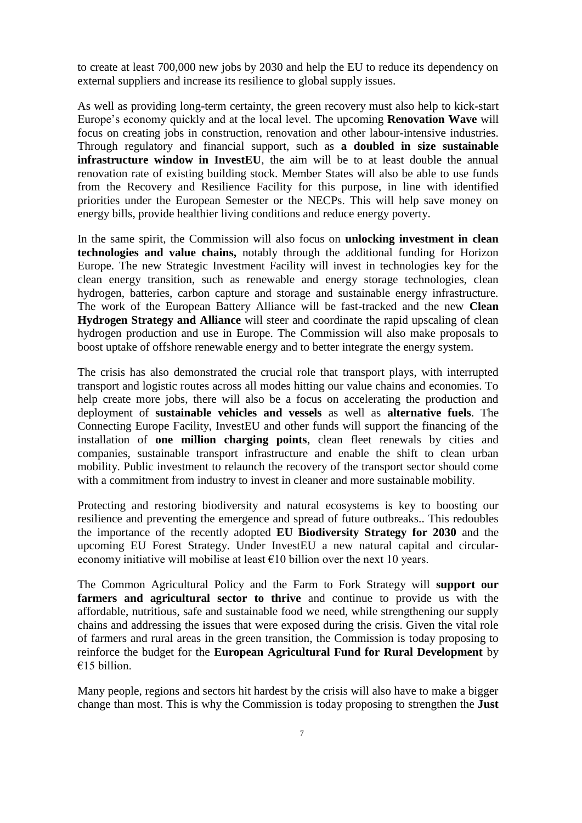to create at least 700,000 new jobs by 2030 and help the EU to reduce its dependency on external suppliers and increase its resilience to global supply issues.

As well as providing long-term certainty, the green recovery must also help to kick-start Europe's economy quickly and at the local level. The upcoming **Renovation Wave** will focus on creating jobs in construction, renovation and other labour-intensive industries. Through regulatory and financial support, such as **a doubled in size sustainable infrastructure window in InvestEU**, the aim will be to at least double the annual renovation rate of existing building stock. Member States will also be able to use funds from the Recovery and Resilience Facility for this purpose, in line with identified priorities under the European Semester or the NECPs. This will help save money on energy bills, provide healthier living conditions and reduce energy poverty.

In the same spirit, the Commission will also focus on **unlocking investment in clean technologies and value chains,** notably through the additional funding for Horizon Europe. The new Strategic Investment Facility will invest in technologies key for the clean energy transition, such as renewable and energy storage technologies, clean hydrogen, batteries, carbon capture and storage and sustainable energy infrastructure. The work of the European Battery Alliance will be fast-tracked and the new **Clean Hydrogen Strategy and Alliance** will steer and coordinate the rapid upscaling of clean hydrogen production and use in Europe. The Commission will also make proposals to boost uptake of offshore renewable energy and to better integrate the energy system.

The crisis has also demonstrated the crucial role that transport plays, with interrupted transport and logistic routes across all modes hitting our value chains and economies. To help create more jobs, there will also be a focus on accelerating the production and deployment of **sustainable vehicles and vessels** as well as **alternative fuels**. The Connecting Europe Facility, InvestEU and other funds will support the financing of the installation of **one million charging points**, clean fleet renewals by cities and companies, sustainable transport infrastructure and enable the shift to clean urban mobility. Public investment to relaunch the recovery of the transport sector should come with a commitment from industry to invest in cleaner and more sustainable mobility.

Protecting and restoring biodiversity and natural ecosystems is key to boosting our resilience and preventing the emergence and spread of future outbreaks.. This redoubles the importance of the recently adopted **EU Biodiversity Strategy for 2030** and the upcoming EU Forest Strategy. Under InvestEU a new natural capital and circulareconomy initiative will mobilise at least  $\epsilon$ 10 billion over the next 10 years.

The Common Agricultural Policy and the Farm to Fork Strategy will **support our farmers and agricultural sector to thrive** and continue to provide us with the affordable, nutritious, safe and sustainable food we need, while strengthening our supply chains and addressing the issues that were exposed during the crisis. Given the vital role of farmers and rural areas in the green transition, the Commission is today proposing to reinforce the budget for the **European Agricultural Fund for Rural Development** by €15 billion.

Many people, regions and sectors hit hardest by the crisis will also have to make a bigger change than most. This is why the Commission is today proposing to strengthen the **Just**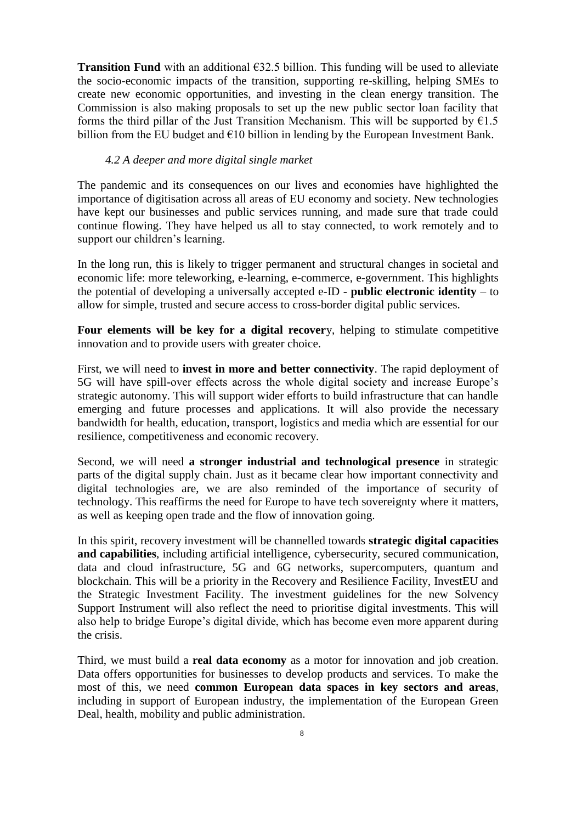**Transition Fund** with an additional  $\epsilon$ 32.5 billion. This funding will be used to alleviate the socio-economic impacts of the transition, supporting re-skilling, helping SMEs to create new economic opportunities, and investing in the clean energy transition. The Commission is also making proposals to set up the new public sector loan facility that forms the third pillar of the Just Transition Mechanism. This will be supported by  $61.5$ billion from the EU budget and  $\epsilon$ 10 billion in lending by the European Investment Bank.

#### *4.2 A deeper and more digital single market*

The pandemic and its consequences on our lives and economies have highlighted the importance of digitisation across all areas of EU economy and society. New technologies have kept our businesses and public services running, and made sure that trade could continue flowing. They have helped us all to stay connected, to work remotely and to support our children's learning.

In the long run, this is likely to trigger permanent and structural changes in societal and economic life: more teleworking, e-learning, e-commerce, e-government. This highlights the potential of developing a universally accepted e-ID - **public electronic identity** – to allow for simple, trusted and secure access to cross-border digital public services.

**Four elements will be key for a digital recover**y, helping to stimulate competitive innovation and to provide users with greater choice.

First, we will need to **invest in more and better connectivity**. The rapid deployment of 5G will have spill-over effects across the whole digital society and increase Europe's strategic autonomy. This will support wider efforts to build infrastructure that can handle emerging and future processes and applications. It will also provide the necessary bandwidth for health, education, transport, logistics and media which are essential for our resilience, competitiveness and economic recovery.

Second, we will need **a stronger industrial and technological presence** in strategic parts of the digital supply chain. Just as it became clear how important connectivity and digital technologies are, we are also reminded of the importance of security of technology. This reaffirms the need for Europe to have tech sovereignty where it matters, as well as keeping open trade and the flow of innovation going.

In this spirit, recovery investment will be channelled towards **strategic digital capacities and capabilities**, including artificial intelligence, cybersecurity, secured communication, data and cloud infrastructure, 5G and 6G networks, supercomputers, quantum and blockchain. This will be a priority in the Recovery and Resilience Facility, InvestEU and the Strategic Investment Facility. The investment guidelines for the new Solvency Support Instrument will also reflect the need to prioritise digital investments. This will also help to bridge Europe's digital divide, which has become even more apparent during the crisis.

Third, we must build a **real data economy** as a motor for innovation and job creation. Data offers opportunities for businesses to develop products and services. To make the most of this, we need **common European data spaces in key sectors and areas**, including in support of European industry, the implementation of the European Green Deal, health, mobility and public administration.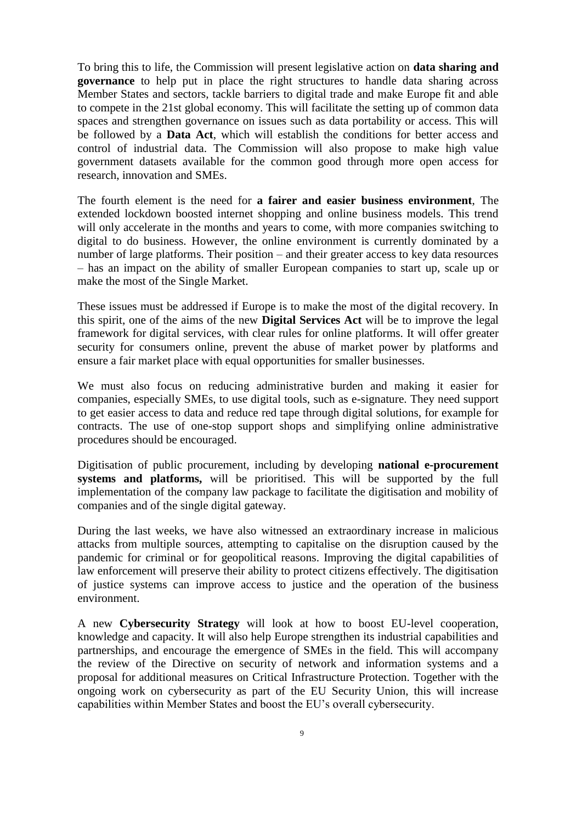To bring this to life, the Commission will present legislative action on **data sharing and governance** to help put in place the right structures to handle data sharing across Member States and sectors, tackle barriers to digital trade and make Europe fit and able to compete in the 21st global economy. This will facilitate the setting up of common data spaces and strengthen governance on issues such as data portability or access. This will be followed by a **Data Act**, which will establish the conditions for better access and control of industrial data. The Commission will also propose to make high value government datasets available for the common good through more open access for research, innovation and SMEs.

The fourth element is the need for **a fairer and easier business environment**, The extended lockdown boosted internet shopping and online business models. This trend will only accelerate in the months and years to come, with more companies switching to digital to do business. However, the online environment is currently dominated by a number of large platforms. Their position – and their greater access to key data resources – has an impact on the ability of smaller European companies to start up, scale up or make the most of the Single Market.

These issues must be addressed if Europe is to make the most of the digital recovery. In this spirit, one of the aims of the new **Digital Services Act** will be to improve the legal framework for digital services, with clear rules for online platforms. It will offer greater security for consumers online, prevent the abuse of market power by platforms and ensure a fair market place with equal opportunities for smaller businesses.

We must also focus on reducing administrative burden and making it easier for companies, especially SMEs, to use digital tools, such as e-signature. They need support to get easier access to data and reduce red tape through digital solutions, for example for contracts. The use of one-stop support shops and simplifying online administrative procedures should be encouraged.

Digitisation of public procurement, including by developing **national e-procurement systems and platforms,** will be prioritised. This will be supported by the full implementation of the company law package to facilitate the digitisation and mobility of companies and of the single digital gateway.

During the last weeks, we have also witnessed an extraordinary increase in malicious attacks from multiple sources, attempting to capitalise on the disruption caused by the pandemic for criminal or for geopolitical reasons. Improving the digital capabilities of law enforcement will preserve their ability to protect citizens effectively. The digitisation of justice systems can improve access to justice and the operation of the business environment.

A new **Cybersecurity Strategy** will look at how to boost EU-level cooperation, knowledge and capacity. It will also help Europe strengthen its industrial capabilities and partnerships, and encourage the emergence of SMEs in the field. This will accompany the review of the Directive on security of network and information systems and a proposal for additional measures on Critical Infrastructure Protection. Together with the ongoing work on cybersecurity as part of the EU Security Union, this will increase capabilities within Member States and boost the EU's overall cybersecurity.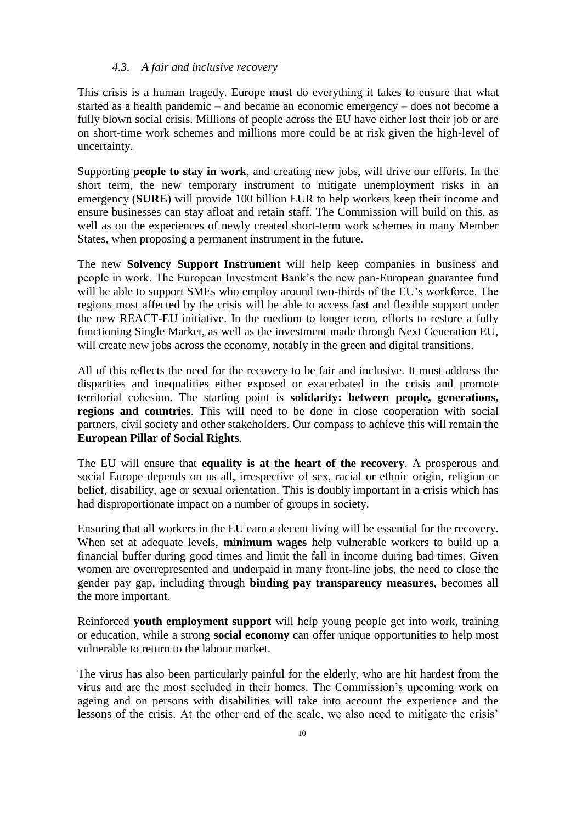#### *4.3. A fair and inclusive recovery*

This crisis is a human tragedy. Europe must do everything it takes to ensure that what started as a health pandemic – and became an economic emergency – does not become a fully blown social crisis. Millions of people across the EU have either lost their job or are on short-time work schemes and millions more could be at risk given the high-level of uncertainty.

Supporting **people to stay in work**, and creating new jobs, will drive our efforts. In the short term, the new temporary instrument to mitigate unemployment risks in an emergency (**SURE**) will provide 100 billion EUR to help workers keep their income and ensure businesses can stay afloat and retain staff. The Commission will build on this, as well as on the experiences of newly created short-term work schemes in many Member States, when proposing a permanent instrument in the future.

The new **Solvency Support Instrument** will help keep companies in business and people in work. The European Investment Bank's the new pan-European guarantee fund will be able to support SMEs who employ around two-thirds of the EU's workforce. The regions most affected by the crisis will be able to access fast and flexible support under the new REACT-EU initiative. In the medium to longer term, efforts to restore a fully functioning Single Market, as well as the investment made through Next Generation EU, will create new jobs across the economy, notably in the green and digital transitions.

All of this reflects the need for the recovery to be fair and inclusive. It must address the disparities and inequalities either exposed or exacerbated in the crisis and promote territorial cohesion. The starting point is **solidarity: between people, generations, regions and countries**. This will need to be done in close cooperation with social partners, civil society and other stakeholders. Our compass to achieve this will remain the **European Pillar of Social Rights**.

The EU will ensure that **equality is at the heart of the recovery**. A prosperous and social Europe depends on us all, irrespective of sex, racial or ethnic origin, religion or belief, disability, age or sexual orientation. This is doubly important in a crisis which has had disproportionate impact on a number of groups in society.

Ensuring that all workers in the EU earn a decent living will be essential for the recovery. When set at adequate levels, **minimum wages** help vulnerable workers to build up a financial buffer during good times and limit the fall in income during bad times. Given women are overrepresented and underpaid in many front-line jobs, the need to close the gender pay gap, including through **binding pay transparency measures**, becomes all the more important.

Reinforced **youth employment support** will help young people get into work, training or education, while a strong **social economy** can offer unique opportunities to help most vulnerable to return to the labour market.

The virus has also been particularly painful for the elderly, who are hit hardest from the virus and are the most secluded in their homes. The Commission's upcoming work on ageing and on persons with disabilities will take into account the experience and the lessons of the crisis. At the other end of the scale, we also need to mitigate the crisis'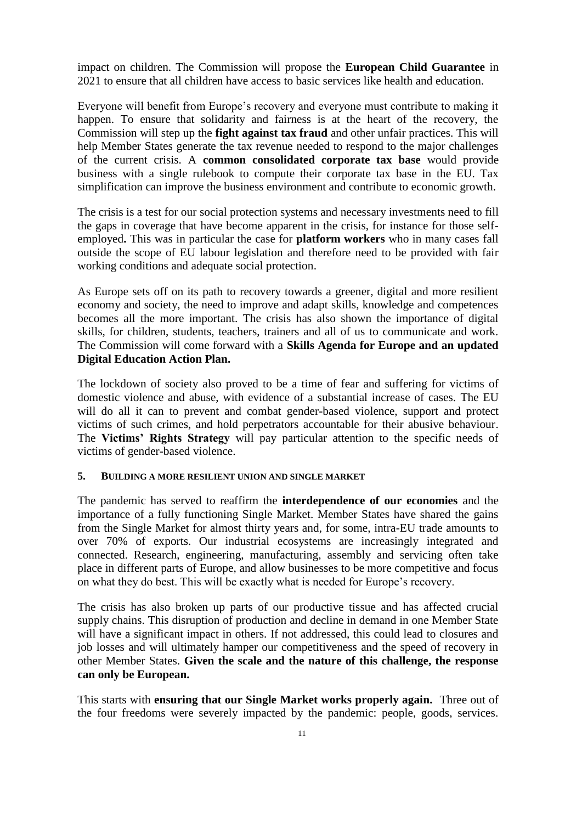impact on children. The Commission will propose the **European Child Guarantee** in 2021 to ensure that all children have access to basic services like health and education.

Everyone will benefit from Europe's recovery and everyone must contribute to making it happen. To ensure that solidarity and fairness is at the heart of the recovery, the Commission will step up the **fight against tax fraud** and other unfair practices. This will help Member States generate the tax revenue needed to respond to the major challenges of the current crisis. A **common consolidated corporate tax base** would provide business with a single rulebook to compute their corporate tax base in the EU. Tax simplification can improve the business environment and contribute to economic growth.

The crisis is a test for our social protection systems and necessary investments need to fill the gaps in coverage that have become apparent in the crisis, for instance for those selfemployed**.** This was in particular the case for **platform workers** who in many cases fall outside the scope of EU labour legislation and therefore need to be provided with fair working conditions and adequate social protection.

As Europe sets off on its path to recovery towards a greener, digital and more resilient economy and society, the need to improve and adapt skills, knowledge and competences becomes all the more important. The crisis has also shown the importance of digital skills, for children, students, teachers, trainers and all of us to communicate and work. The Commission will come forward with a **Skills Agenda for Europe and an updated Digital Education Action Plan.**

The lockdown of society also proved to be a time of fear and suffering for victims of domestic violence and abuse, with evidence of a substantial increase of cases. The EU will do all it can to prevent and combat gender-based violence, support and protect victims of such crimes, and hold perpetrators accountable for their abusive behaviour. The **Victims' Rights Strategy** will pay particular attention to the specific needs of victims of gender-based violence.

# **5. BUILDING A MORE RESILIENT UNION AND SINGLE MARKET**

The pandemic has served to reaffirm the **interdependence of our economies** and the importance of a fully functioning Single Market. Member States have shared the gains from the Single Market for almost thirty years and, for some, intra-EU trade amounts to over 70% of exports. Our industrial ecosystems are increasingly integrated and connected. Research, engineering, manufacturing, assembly and servicing often take place in different parts of Europe, and allow businesses to be more competitive and focus on what they do best. This will be exactly what is needed for Europe's recovery.

The crisis has also broken up parts of our productive tissue and has affected crucial supply chains. This disruption of production and decline in demand in one Member State will have a significant impact in others. If not addressed, this could lead to closures and job losses and will ultimately hamper our competitiveness and the speed of recovery in other Member States. **Given the scale and the nature of this challenge, the response can only be European.** 

This starts with **ensuring that our Single Market works properly again.** Three out of the four freedoms were severely impacted by the pandemic: people, goods, services.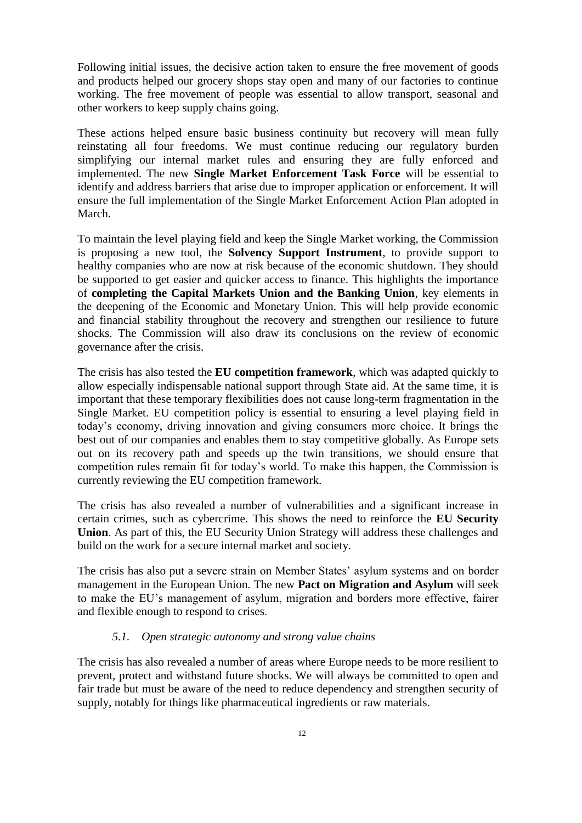Following initial issues, the decisive action taken to ensure the free movement of goods and products helped our grocery shops stay open and many of our factories to continue working. The free movement of people was essential to allow transport, seasonal and other workers to keep supply chains going.

These actions helped ensure basic business continuity but recovery will mean fully reinstating all four freedoms. We must continue reducing our regulatory burden simplifying our internal market rules and ensuring they are fully enforced and implemented. The new **Single Market Enforcement Task Force** will be essential to identify and address barriers that arise due to improper application or enforcement. It will ensure the full implementation of the Single Market Enforcement Action Plan adopted in March.

To maintain the level playing field and keep the Single Market working, the Commission is proposing a new tool, the **Solvency Support Instrument**, to provide support to healthy companies who are now at risk because of the economic shutdown. They should be supported to get easier and quicker access to finance. This highlights the importance of **completing the Capital Markets Union and the Banking Union**, key elements in the deepening of the Economic and Monetary Union. This will help provide economic and financial stability throughout the recovery and strengthen our resilience to future shocks. The Commission will also draw its conclusions on the review of economic governance after the crisis.

The crisis has also tested the **EU competition framework**, which was adapted quickly to allow especially indispensable national support through State aid. At the same time, it is important that these temporary flexibilities does not cause long-term fragmentation in the Single Market. EU competition policy is essential to ensuring a level playing field in today's economy, driving innovation and giving consumers more choice. It brings the best out of our companies and enables them to stay competitive globally. As Europe sets out on its recovery path and speeds up the twin transitions, we should ensure that competition rules remain fit for today's world. To make this happen, the Commission is currently reviewing the EU competition framework.

The crisis has also revealed a number of vulnerabilities and a significant increase in certain crimes, such as cybercrime. This shows the need to reinforce the **EU Security Union**. As part of this, the EU Security Union Strategy will address these challenges and build on the work for a secure internal market and society.

The crisis has also put a severe strain on Member States' asylum systems and on border management in the European Union. The new **Pact on Migration and Asylum** will seek to make the EU's management of asylum, migration and borders more effective, fairer and flexible enough to respond to crises.

## *5.1. Open strategic autonomy and strong value chains*

The crisis has also revealed a number of areas where Europe needs to be more resilient to prevent, protect and withstand future shocks. We will always be committed to open and fair trade but must be aware of the need to reduce dependency and strengthen security of supply, notably for things like pharmaceutical ingredients or raw materials.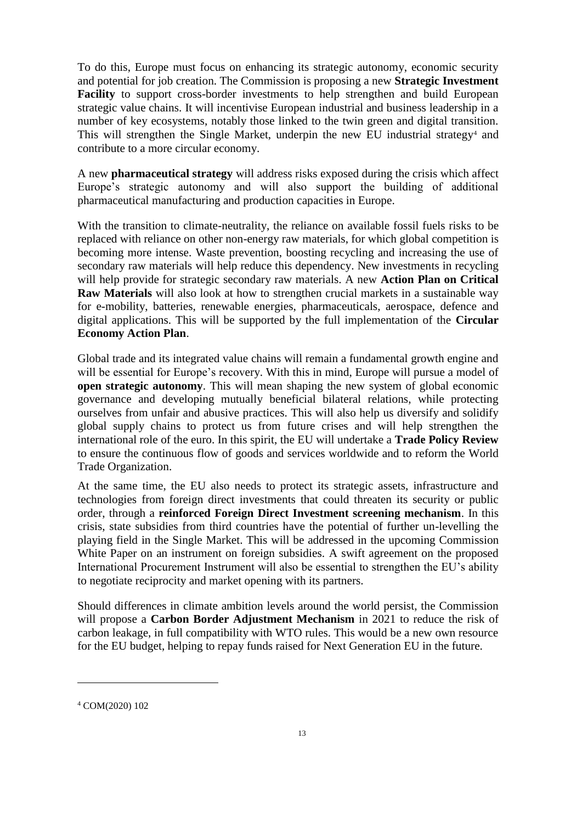To do this, Europe must focus on enhancing its strategic autonomy, economic security and potential for job creation. The Commission is proposing a new **Strategic Investment Facility** to support cross-border investments to help strengthen and build European strategic value chains. It will incentivise European industrial and business leadership in a number of key ecosystems, notably those linked to the twin green and digital transition. This will strengthen the Single Market, underpin the new EU industrial strategy<sup>4</sup> and contribute to a more circular economy.

A new **pharmaceutical strategy** will address risks exposed during the crisis which affect Europe's strategic autonomy and will also support the building of additional pharmaceutical manufacturing and production capacities in Europe.

With the transition to climate-neutrality, the reliance on available fossil fuels risks to be replaced with reliance on other non-energy raw materials, for which global competition is becoming more intense. Waste prevention, boosting recycling and increasing the use of secondary raw materials will help reduce this dependency. New investments in recycling will help provide for strategic secondary raw materials. A new **Action Plan on Critical Raw Materials** will also look at how to strengthen crucial markets in a sustainable way for e-mobility, batteries, renewable energies, pharmaceuticals, aerospace, defence and digital applications. This will be supported by the full implementation of the **Circular Economy Action Plan**.

Global trade and its integrated value chains will remain a fundamental growth engine and will be essential for Europe's recovery. With this in mind, Europe will pursue a model of **open strategic autonomy**. This will mean shaping the new system of global economic governance and developing mutually beneficial bilateral relations, while protecting ourselves from unfair and abusive practices. This will also help us diversify and solidify global supply chains to protect us from future crises and will help strengthen the international role of the euro. In this spirit, the EU will undertake a **Trade Policy Review** to ensure the continuous flow of goods and services worldwide and to reform the World Trade Organization.

At the same time, the EU also needs to protect its strategic assets, infrastructure and technologies from foreign direct investments that could threaten its security or public order, through a **reinforced Foreign Direct Investment screening mechanism**. In this crisis, state subsidies from third countries have the potential of further un-levelling the playing field in the Single Market. This will be addressed in the upcoming Commission White Paper on an instrument on foreign subsidies. A swift agreement on the proposed International Procurement Instrument will also be essential to strengthen the EU's ability to negotiate reciprocity and market opening with its partners.

Should differences in climate ambition levels around the world persist, the Commission will propose a **Carbon Border Adjustment Mechanism** in 2021 to reduce the risk of carbon leakage, in full compatibility with WTO rules. This would be a new own resource for the EU budget, helping to repay funds raised for Next Generation EU in the future.

 $\overline{a}$ 

<sup>4</sup> COM(2020) 102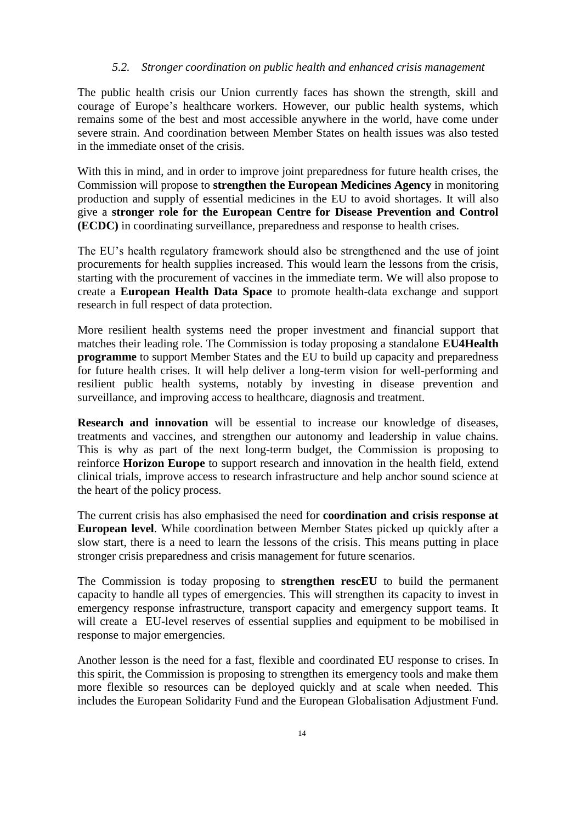#### *5.2. Stronger coordination on public health and enhanced crisis management*

The public health crisis our Union currently faces has shown the strength, skill and courage of Europe's healthcare workers. However, our public health systems, which remains some of the best and most accessible anywhere in the world, have come under severe strain. And coordination between Member States on health issues was also tested in the immediate onset of the crisis.

With this in mind, and in order to improve joint preparedness for future health crises, the Commission will propose to **strengthen the European Medicines Agency** in monitoring production and supply of essential medicines in the EU to avoid shortages. It will also give a **stronger role for the European Centre for Disease Prevention and Control (ECDC)** in coordinating surveillance, preparedness and response to health crises.

The EU's health regulatory framework should also be strengthened and the use of joint procurements for health supplies increased. This would learn the lessons from the crisis, starting with the procurement of vaccines in the immediate term. We will also propose to create a **European Health Data Space** to promote health-data exchange and support research in full respect of data protection.

More resilient health systems need the proper investment and financial support that matches their leading role. The Commission is today proposing a standalone **EU4Health programme** to support Member States and the EU to build up capacity and preparedness for future health crises. It will help deliver a long-term vision for well-performing and resilient public health systems, notably by investing in disease prevention and surveillance, and improving access to healthcare, diagnosis and treatment.

**Research and innovation** will be essential to increase our knowledge of diseases, treatments and vaccines, and strengthen our autonomy and leadership in value chains. This is why as part of the next long-term budget, the Commission is proposing to reinforce **Horizon Europe** to support research and innovation in the health field, extend clinical trials, improve access to research infrastructure and help anchor sound science at the heart of the policy process.

The current crisis has also emphasised the need for **coordination and crisis response at European level**. While coordination between Member States picked up quickly after a slow start, there is a need to learn the lessons of the crisis. This means putting in place stronger crisis preparedness and crisis management for future scenarios.

The Commission is today proposing to **strengthen rescEU** to build the permanent capacity to handle all types of emergencies. This will strengthen its capacity to invest in emergency response infrastructure, transport capacity and emergency support teams. It will create a EU-level reserves of essential supplies and equipment to be mobilised in response to major emergencies.

Another lesson is the need for a fast, flexible and coordinated EU response to crises. In this spirit, the Commission is proposing to strengthen its emergency tools and make them more flexible so resources can be deployed quickly and at scale when needed. This includes the European Solidarity Fund and the European Globalisation Adjustment Fund.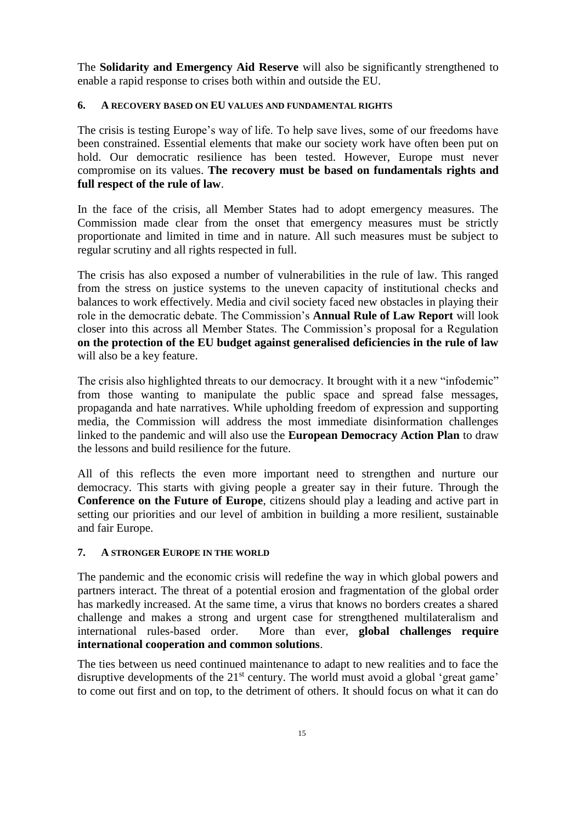The **Solidarity and Emergency Aid Reserve** will also be significantly strengthened to enable a rapid response to crises both within and outside the EU.

## **6. A RECOVERY BASED ON EU VALUES AND FUNDAMENTAL RIGHTS**

The crisis is testing Europe's way of life. To help save lives, some of our freedoms have been constrained. Essential elements that make our society work have often been put on hold. Our democratic resilience has been tested. However, Europe must never compromise on its values. **The recovery must be based on fundamentals rights and full respect of the rule of law**.

In the face of the crisis, all Member States had to adopt emergency measures. The Commission made clear from the onset that emergency measures must be strictly proportionate and limited in time and in nature. All such measures must be subject to regular scrutiny and all rights respected in full.

The crisis has also exposed a number of vulnerabilities in the rule of law. This ranged from the stress on justice systems to the uneven capacity of institutional checks and balances to work effectively. Media and civil society faced new obstacles in playing their role in the democratic debate. The Commission's **Annual Rule of Law Report** will look closer into this across all Member States. The Commission's proposal for a Regulation **on the protection of the EU budget against generalised deficiencies in the rule of law**  will also be a key feature.

The crisis also highlighted threats to our democracy. It brought with it a new "infodemic" from those wanting to manipulate the public space and spread false messages, propaganda and hate narratives. While upholding freedom of expression and supporting media, the Commission will address the most immediate disinformation challenges linked to the pandemic and will also use the **European Democracy Action Plan** to draw the lessons and build resilience for the future.

All of this reflects the even more important need to strengthen and nurture our democracy. This starts with giving people a greater say in their future. Through the **Conference on the Future of Europe**, citizens should play a leading and active part in setting our priorities and our level of ambition in building a more resilient, sustainable and fair Europe.

#### **7. A STRONGER EUROPE IN THE WORLD**

The pandemic and the economic crisis will redefine the way in which global powers and partners interact. The threat of a potential erosion and fragmentation of the global order has markedly increased. At the same time, a virus that knows no borders creates a shared challenge and makes a strong and urgent case for strengthened multilateralism and international rules-based order. More than ever, **global challenges require international cooperation and common solutions**.

The ties between us need continued maintenance to adapt to new realities and to face the disruptive developments of the  $21<sup>st</sup>$  century. The world must avoid a global 'great game' to come out first and on top, to the detriment of others. It should focus on what it can do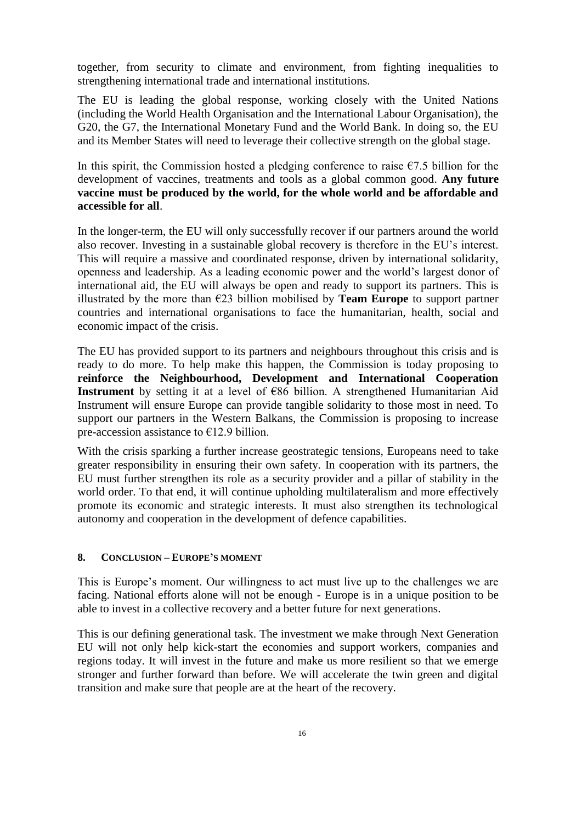together, from security to climate and environment, from fighting inequalities to strengthening international trade and international institutions.

The EU is leading the global response, working closely with the United Nations (including the World Health Organisation and the International Labour Organisation), the G20, the G7, the International Monetary Fund and the World Bank. In doing so, the EU and its Member States will need to leverage their collective strength on the global stage.

In this spirit, the Commission hosted a pledging conference to raise  $\epsilon$ 7.5 billion for the development of vaccines, treatments and tools as a global common good. **Any future vaccine must be produced by the world, for the whole world and be affordable and accessible for all**.

In the longer-term, the EU will only successfully recover if our partners around the world also recover. Investing in a sustainable global recovery is therefore in the EU's interest. This will require a massive and coordinated response, driven by international solidarity, openness and leadership. As a leading economic power and the world's largest donor of international aid, the EU will always be open and ready to support its partners. This is illustrated by the more than  $\epsilon$ 23 billion mobilised by **Team Europe** to support partner countries and international organisations to face the humanitarian, health, social and economic impact of the crisis.

The EU has provided support to its partners and neighbours throughout this crisis and is ready to do more. To help make this happen, the Commission is today proposing to **reinforce the Neighbourhood, Development and International Cooperation Instrument** by setting it at a level of €86 billion. A strengthened Humanitarian Aid Instrument will ensure Europe can provide tangible solidarity to those most in need. To support our partners in the Western Balkans, the Commission is proposing to increase pre-accession assistance to  $\epsilon$ 12.9 billion.

With the crisis sparking a further increase geostrategic tensions, Europeans need to take greater responsibility in ensuring their own safety. In cooperation with its partners, the EU must further strengthen its role as a security provider and a pillar of stability in the world order. To that end, it will continue upholding multilateralism and more effectively promote its economic and strategic interests. It must also strengthen its technological autonomy and cooperation in the development of defence capabilities.

### **8. CONCLUSION – EUROPE'S MOMENT**

This is Europe's moment. Our willingness to act must live up to the challenges we are facing. National efforts alone will not be enough - Europe is in a unique position to be able to invest in a collective recovery and a better future for next generations.

This is our defining generational task. The investment we make through Next Generation EU will not only help kick-start the economies and support workers, companies and regions today. It will invest in the future and make us more resilient so that we emerge stronger and further forward than before. We will accelerate the twin green and digital transition and make sure that people are at the heart of the recovery.